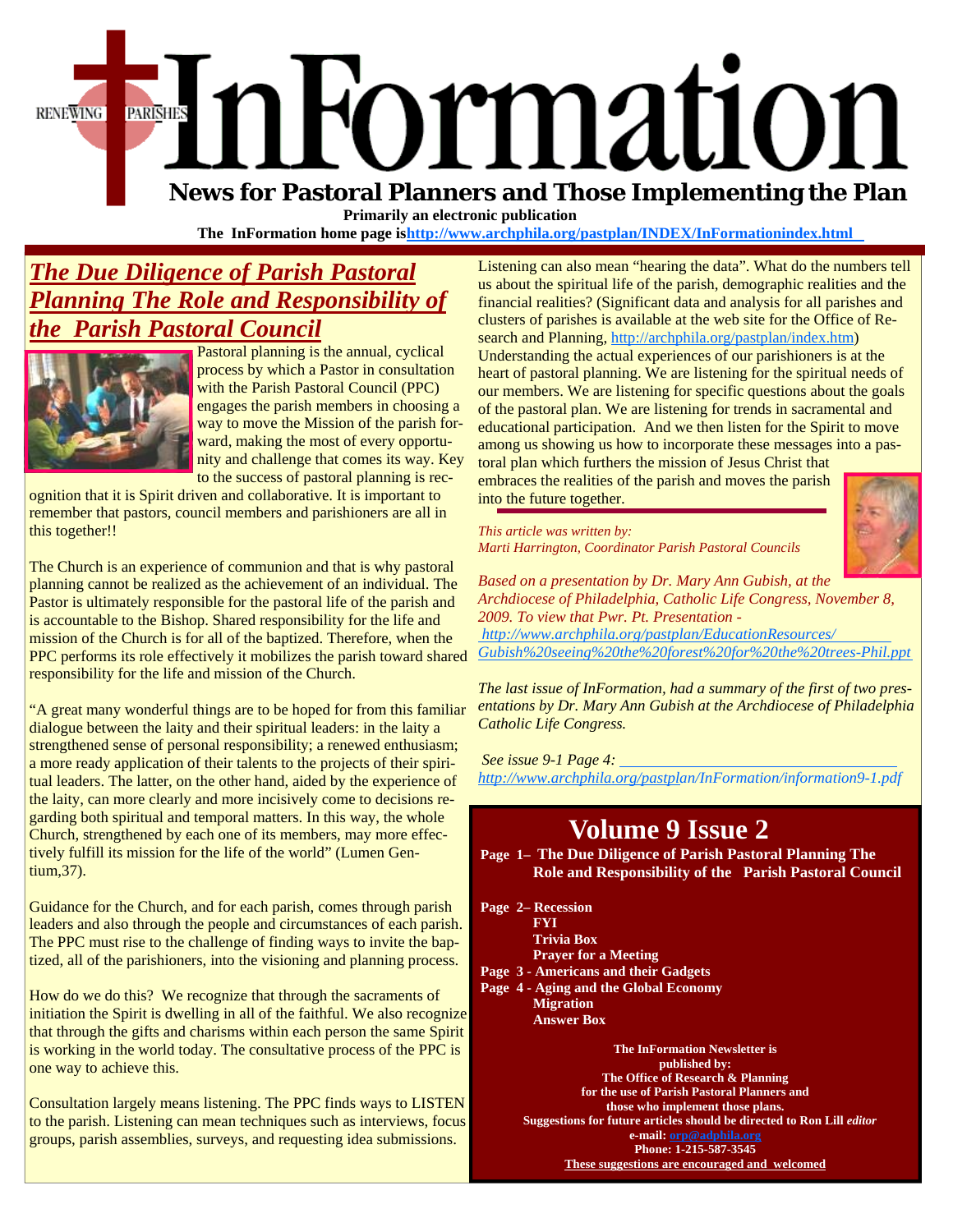## **News for Pastoral Planners and Those Implementing the Plan** PARISHES **RENEWING**

 **Primarily an electronic publication** 

**The InFormation home page ishttp://www.archphila.org/pastplan/INDEX/InFormationindex.html**

#### *The Due Diligence of Parish Pastoral Planning The Role and Responsibility of the Parish Pastoral Council*



Pastoral planning is the annual, cyclical process by which a Pastor in consultation with the Parish Pastoral Council (PPC) engages the parish members in choosing a way to move the Mission of the parish forward, making the most of every opportunity and challenge that comes its way. Key to the success of pastoral planning is rec-

ognition that it is Spirit driven and collaborative. It is important to remember that pastors, council members and parishioners are all in this together!!

The Church is an experience of communion and that is why pastoral planning cannot be realized as the achievement of an individual. The Pastor is ultimately responsible for the pastoral life of the parish and is accountable to the Bishop. Shared responsibility for the life and mission of the Church is for all of the baptized. Therefore, when the PPC performs its role effectively it mobilizes the parish toward shared responsibility for the life and mission of the Church.

"A great many wonderful things are to be hoped for from this familiar dialogue between the laity and their spiritual leaders: in the laity a strengthened sense of personal responsibility; a renewed enthusiasm; a more ready application of their talents to the projects of their spiritual leaders. The latter, on the other hand, aided by the experience of the laity, can more clearly and more incisively come to decisions regarding both spiritual and temporal matters. In this way, the whole Church, strengthened by each one of its members, may more effectively fulfill its mission for the life of the world" (Lumen Gentium,37).

Guidance for the Church, and for each parish, comes through parish leaders and also through the people and circumstances of each parish. The PPC must rise to the challenge of finding ways to invite the baptized, all of the parishioners, into the visioning and planning process.

How do we do this? We recognize that through the sacraments of initiation the Spirit is dwelling in all of the faithful. We also recognize that through the gifts and charisms within each person the same Spirit is working in the world today. The consultative process of the PPC is one way to achieve this.

Consultation largely means listening. The PPC finds ways to LISTEN to the parish. Listening can mean techniques such as interviews, focus groups, parish assemblies, surveys, and requesting idea submissions.

Listening can also mean "hearing the data". What do the numbers tell us about the spiritual life of the parish, demographic realities and the financial realities? (Significant data and analysis for all parishes and clusters of parishes is available at the web site for the Office of Research and Planning, http://archphila.org/pastplan/index.htm) Understanding the actual experiences of our parishioners is at the heart of pastoral planning. We are listening for the spiritual needs of our members. We are listening for specific questions about the goals of the pastoral plan. We are listening for trends in sacramental and educational participation. And we then listen for the Spirit to move among us showing us how to incorporate these messages into a pastoral plan which furthers the mission of Jesus Christ that

embraces the realities of the parish and moves the parish into the future together.

*This article was written by: Marti Harrington, Coordinator Parish Pastoral Councils* 

*Based on a presentation by Dr. Mary Ann Gubish, at the Archdiocese of Philadelphia, Catholic Life Congress, November 8, 2009. To view that Pwr. Pt. Presentation http://www.archphila.org/pastplan/EducationResources/ [Gubish%20seeing%20the%20forest%20for%20the%20trees-Phil.pp](http://www.archphila.org/pastplan/EducationResources/Gubish seeing the forest for the trees-Phil.PPT)t*

*The last issue of InFormation, had a summary of the first of two presentations by Dr. Mary Ann Gubish at the Archdiocese of Philadelphia Catholic Life Congress.* 

 *See issue 9-1 Page 4: http://www.archphila.org/pastplan/InFormation/information9-1.pdf*

#### **Volume 9 Issue 2**

 **Page 1– The Due Diligence of Parish Pastoral Planning The Role and Responsibility of the Parish Pastoral Council** 

| Page 2– Recession                     |                                                                              |
|---------------------------------------|------------------------------------------------------------------------------|
| <b>FYI</b>                            |                                                                              |
| <b>Trivia Box</b>                     |                                                                              |
| <b>Praver for a Meeting</b>           |                                                                              |
| Page 3 - Americans and their Gadgets  |                                                                              |
| Page 4 - Aging and the Global Economy |                                                                              |
| <b>Migration</b>                      |                                                                              |
| <b>Answer Box</b>                     |                                                                              |
|                                       | <b>The InFormation Newsletter is</b>                                         |
|                                       | published by:                                                                |
|                                       | The Office of Research & Planning                                            |
|                                       | for the use of Parish Pastoral Planners and                                  |
|                                       | those who implement those plans.                                             |
|                                       | Suggestions for future articles should be directed to Ron Lill <i>editor</i> |
| e-mail: orp@adphila.org               |                                                                              |
|                                       | Phone: 1-215-587-3545                                                        |

**These suggestions are encouraged and welcomed** 

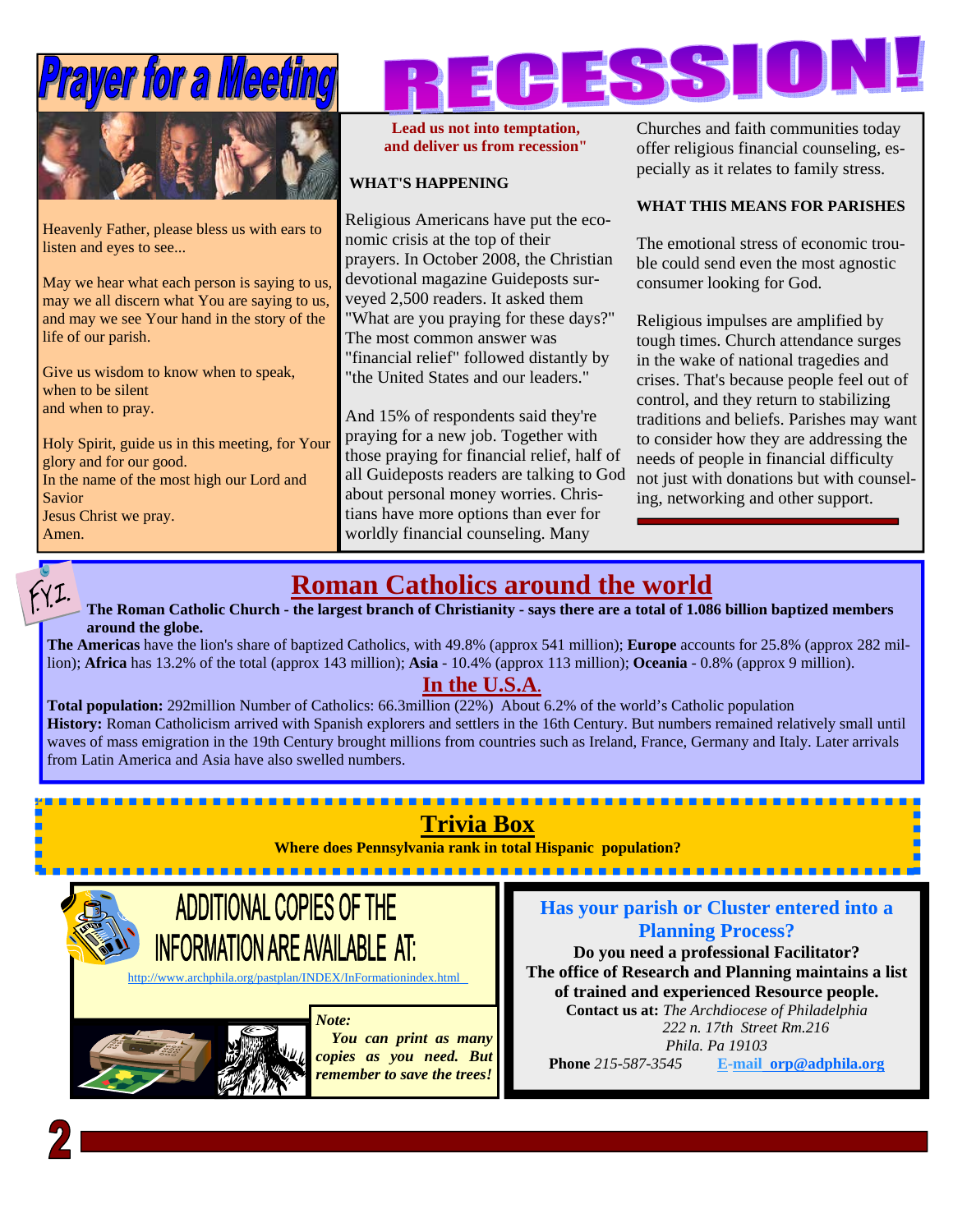## *rayer for a Meeting*



Heavenly Father, please bless us with ears to listen and eyes to see...

May we hear what each person is saying to us, may we all discern what You are saying to us, and may we see Your hand in the story of the life of our parish.

Give us wisdom to know when to speak, when to be silent and when to pray.

Holy Spirit, guide us in this meeting, for Your glory and for our good. In the name of the most high our Lord and Savior Jesus Christ we pray. Amen.

**Lead us not into temptation, and deliver us from recession"**

#### **WHAT'S HAPPENING**

Religious Americans have put the economic crisis at the top of their prayers. In October 2008, the Christian devotional magazine Guideposts surveyed 2,500 readers. It asked them "What are you praying for these days?" The most common answer was "financial relief" followed distantly by "the United States and our leaders."

And 15% of respondents said they're praying for a new job. Together with those praying for financial relief, half of all Guideposts readers are talking to God about personal money worries. Christians have more options than ever for worldly financial counseling. Many

Churches and faith communities today offer religious financial counseling, especially as it relates to family stress.

#### **WHAT THIS MEANS FOR PARISHES**

The emotional stress of economic trouble could send even the most agnostic consumer looking for God.

Religious impulses are amplified by tough times. Church attendance surges in the wake of national tragedies and crises. That's because people feel out of control, and they return to stabilizing traditions and beliefs. Parishes may want to consider how they are addressing the needs of people in financial difficulty not just with donations but with counseling, networking and other support.

#### **Roman Catholics around the world**

ÝI. **The Roman Catholic Church - the largest branch of Christianity - says there are a total of 1.086 billion baptized members around the globe.** 

**The Americas** have the lion's share of baptized Catholics, with 49.8% (approx 541 million); **Europe** accounts for 25.8% (approx 282 million); **Africa** has 13.2% of the total (approx 143 million); **Asia** - 10.4% (approx 113 million); **Oceania** - 0.8% (approx 9 million).

#### **In the U.S.A.**

**Total population:** 292million Number of Catholics: 66.3million (22%) About 6.2% of the world's Catholic population **History:** Roman Catholicism arrived with Spanish explorers and settlers in the 16th Century. But numbers remained relatively small until waves of mass emigration in the 19th Century brought millions from countries such as Ireland, France, Germany and Italy. Later arrivals from Latin America and Asia have also swelled numbers.

#### **Trivia Box**

**Where does Pennsylvania rank in total Hispanic population?** 





 *You can print as many copies as you need. But remember to save the trees!* 

**Has your parish or Cluster entered into a Planning Process?** 

**Do you need a professional Facilitator? The office of Research and Planning maintains a list of trained and experienced Resource people. Contact us at:** *The Archdiocese of Philadelphia 222 n. 17th Street Rm.216 Phila. Pa 19103*  **Phone** *215-587-3545* **E-mail orp@adphila.org**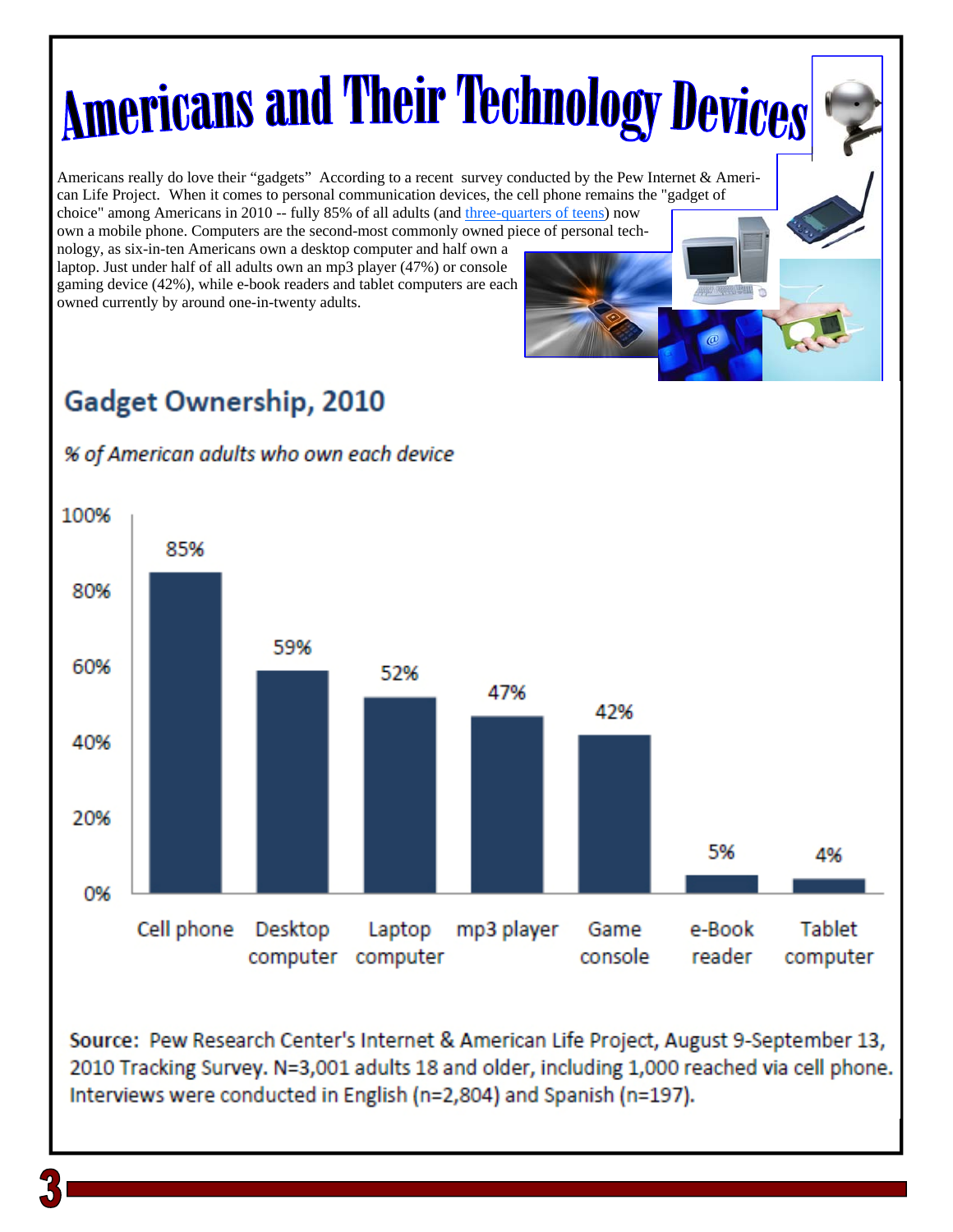# **Americans and Their Technology Devices**

Americans really do love their "gadgets" According to a recent survey conducted by the Pew Internet & American Life Project. When it comes to personal communication devices, the cell phone remains the "gadget of choice" among Americans in 2010 -- fully 85% of all adults (and [three-quarters of teens\)](http://pewinternet.org/Reports/2010/Teens-and-Mobile-Phones.aspx) now

own a mobile phone. Computers are the second-most commonly owned piece of personal technology, as six-in-ten Americans own a desktop computer and half own a laptop. Just under half of all adults own an mp3 player (47%) or console gaming device (42%), while e-book readers and tablet computers are each owned currently by around one-in-twenty adults.

### Gadget Ownership, 2010



Source: Pew Research Center's Internet & American Life Project, August 9-September 13, 2010 Tracking Survey. N=3,001 adults 18 and older, including 1,000 reached via cell phone. Interviews were conducted in English (n=2,804) and Spanish (n=197).

#### % of American adults who own each device